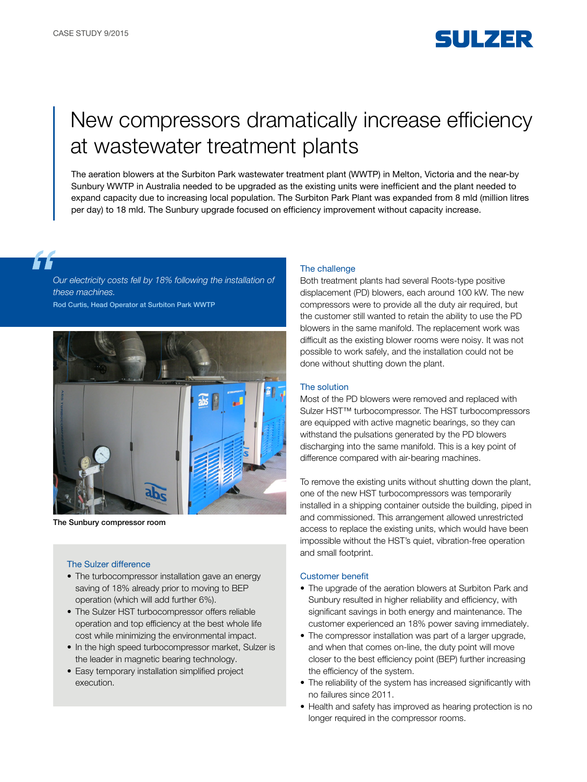

# New compressors dramatically increase efficiency at wastewater treatment plants

The aeration blowers at the Surbiton Park wastewater treatment plant (WWTP) in Melton, Victoria and the near-by Sunbury WWTP in Australia needed to be upgraded as the existing units were inefficient and the plant needed to expand capacity due to increasing local population. The Surbiton Park Plant was expanded from 8 mld (million litres per day) to 18 mld. The Sunbury upgrade focused on efficiency improvement without capacity increase.

*Our electricity costs fell by 18% following the installation of these machines.*

Rod Curtis, Head Operator at Surbiton Park WWTP



The Sunbury compressor room

## The Sulzer difference

- The turbocompressor installation gave an energy saving of 18% already prior to moving to BEP operation (which will add further 6%).
- The Sulzer HST turbocompressor offers reliable operation and top efficiency at the best whole life cost while minimizing the environmental impact.
- In the high speed turbocompressor market, Sulzer is the leader in magnetic bearing technology.
- Easy temporary installation simplified project execution.

### The challenge

Both treatment plants had several Roots-type positive displacement (PD) blowers, each around 100 kW. The new compressors were to provide all the duty air required, but the customer still wanted to retain the ability to use the PD blowers in the same manifold. The replacement work was difficult as the existing blower rooms were noisy. It was not possible to work safely, and the installation could not be done without shutting down the plant.

#### The solution

Most of the PD blowers were removed and replaced with Sulzer HST™ turbocompressor. The HST turbocompressors are equipped with active magnetic bearings, so they can withstand the pulsations generated by the PD blowers discharging into the same manifold. This is a key point of difference compared with air-bearing machines.

To remove the existing units without shutting down the plant, one of the new HST turbocompressors was temporarily installed in a shipping container outside the building, piped in and commissioned. This arrangement allowed unrestricted access to replace the existing units, which would have been impossible without the HST's quiet, vibration-free operation and small footprint.

#### Customer benefit

- The upgrade of the aeration blowers at Surbiton Park and Sunbury resulted in higher reliability and efficiency, with significant savings in both energy and maintenance. The customer experienced an 18% power saving immediately.
- The compressor installation was part of a larger upgrade, and when that comes on-line, the duty point will move closer to the best efficiency point (BEP) further increasing the efficiency of the system.
- The reliability of the system has increased significantly with no failures since 2011.
- Health and safety has improved as hearing protection is no longer required in the compressor rooms.